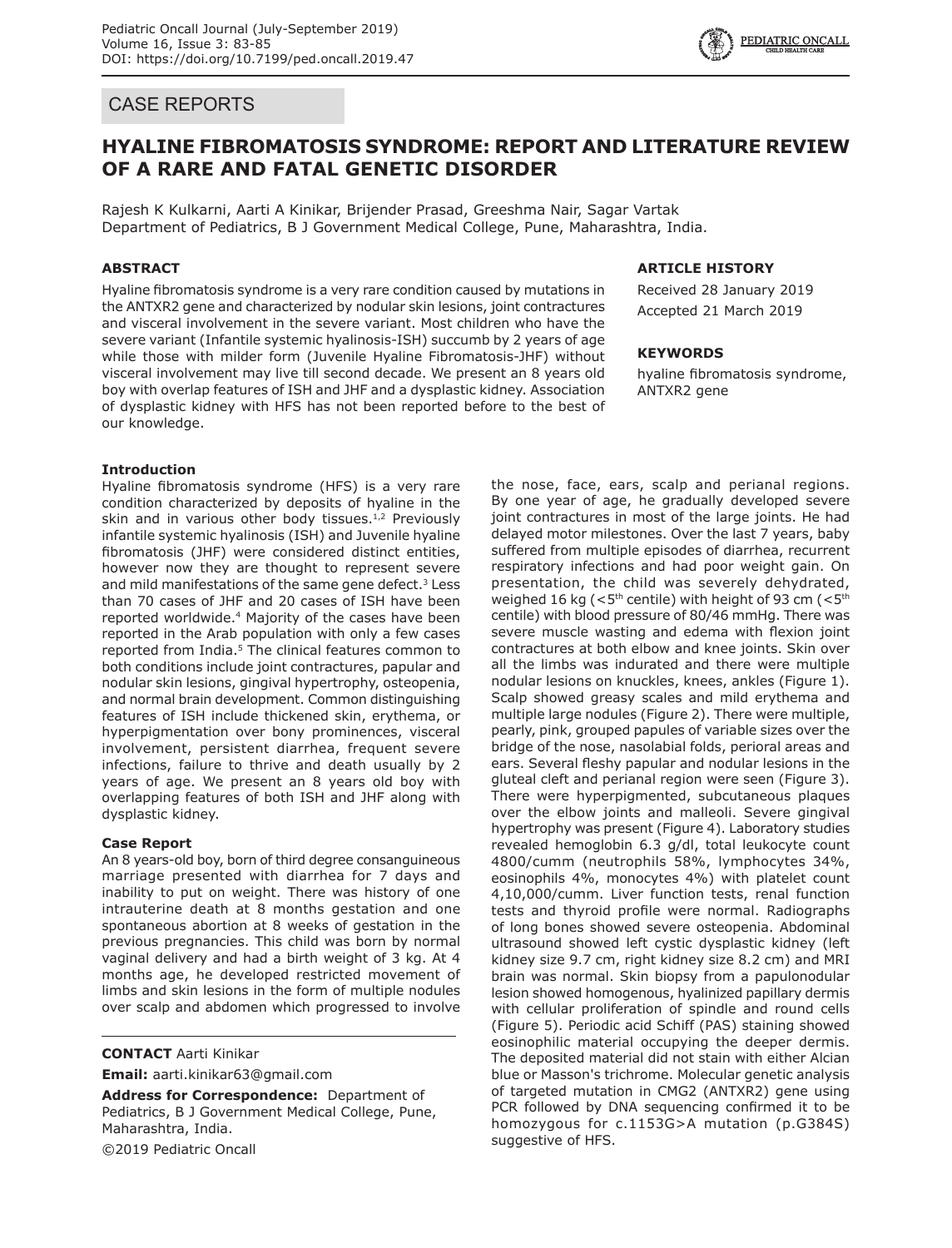# CASE REPORTS

# **HYALINE FIBROMATOSIS SYNDROME: REPORT AND LITERATURE REVIEW OF A RARE AND FATAL GENETIC DISORDER**

Rajesh K Kulkarni, Aarti A Kinikar, Brijender Prasad, Greeshma Nair, Sagar Vartak Department of Pediatrics, B J Government Medical College, Pune, Maharashtra, India.

## **ABSTRACT**

Hyaline fibromatosis syndrome is a very rare condition caused by mutations in the ANTXR2 gene and characterized by nodular skin lesions, joint contractures and visceral involvement in the severe variant. Most children who have the severe variant (Infantile systemic hyalinosis-ISH) succumb by 2 years of age while those with milder form (Juvenile Hyaline Fibromatosis-JHF) without visceral involvement may live till second decade. We present an 8 years old boy with overlap features of ISH and JHF and a dysplastic kidney. Association of dysplastic kidney with HFS has not been reported before to the best of our knowledge.

## **Introduction**

Hyaline fibromatosis syndrome (HFS) is a very rare condition characterized by deposits of hyaline in the skin and in various other body tissues. $1,2$  Previously infantile systemic hyalinosis (ISH) and Juvenile hyaline fibromatosis (JHF) were considered distinct entities, however now they are thought to represent severe and mild manifestations of the same gene defect.<sup>3</sup> Less than 70 cases of JHF and 20 cases of ISH have been reported worldwide.4 Majority of the cases have been reported in the Arab population with only a few cases reported from India.<sup>5</sup> The clinical features common to both conditions include joint contractures, papular and nodular skin lesions, gingival hypertrophy, osteopenia, and normal brain development. Common distinguishing features of ISH include thickened skin, erythema, or hyperpigmentation over bony prominences, visceral involvement, persistent diarrhea, frequent severe infections, failure to thrive and death usually by 2 years of age. We present an 8 years old boy with overlapping features of both ISH and JHF along with dysplastic kidney.

## **Case Report**

An 8 years-old boy, born of third degree consanguineous marriage presented with diarrhea for 7 days and inability to put on weight. There was history of one intrauterine death at 8 months gestation and one spontaneous abortion at 8 weeks of gestation in the previous pregnancies. This child was born by normal vaginal delivery and had a birth weight of 3 kg. At 4 months age, he developed restricted movement of limbs and skin lesions in the form of multiple nodules over scalp and abdomen which progressed to involve

**CONTACT** Aarti Kinikar

**Email:** aarti.kinikar63@gmail.com

**Address for Correspondence:** Department of Pediatrics, B J Government Medical College, Pune, Maharashtra, India. ©2019 Pediatric Oncall

# **ARTICLE HISTORY**

Received 28 January 2019 Accepted 21 March 2019

**PEDIATRIC ONCALL** 

### **KEYWORDS**

hyaline fibromatosis syndrome, ANTXR2 gene

the nose, face, ears, scalp and perianal regions. By one year of age, he gradually developed severe joint contractures in most of the large joints. He had delayed motor milestones. Over the last 7 years, baby suffered from multiple episodes of diarrhea, recurrent respiratory infections and had poor weight gain. On presentation, the child was severely dehydrated, weighed 16 kg ( $\leq 5$ <sup>th</sup> centile) with height of 93 cm ( $\leq 5$ <sup>th</sup> centile) with blood pressure of 80/46 mmHg. There was severe muscle wasting and edema with flexion joint contractures at both elbow and knee joints. Skin over all the limbs was indurated and there were multiple nodular lesions on knuckles, knees, ankles (Figure 1). Scalp showed greasy scales and mild erythema and multiple large nodules (Figure 2). There were multiple, pearly, pink, grouped papules of variable sizes over the bridge of the nose, nasolabial folds, perioral areas and ears. Several fleshy papular and nodular lesions in the gluteal cleft and perianal region were seen (Figure 3). There were hyperpigmented, subcutaneous plaques over the elbow joints and malleoli. Severe gingival hypertrophy was present (Figure 4). Laboratory studies revealed hemoglobin 6.3 g/dl, total leukocyte count 4800/cumm (neutrophils 58%, lymphocytes 34%, eosinophils 4%, monocytes 4%) with platelet count 4,10,000/cumm. Liver function tests, renal function tests and thyroid profile were normal. Radiographs of long bones showed severe osteopenia. Abdominal ultrasound showed left cystic dysplastic kidney (left kidney size 9.7 cm, right kidney size 8.2 cm) and MRI brain was normal. Skin biopsy from a papulonodular lesion showed homogenous, hyalinized papillary dermis with cellular proliferation of spindle and round cells (Figure 5). Periodic acid Schiff (PAS) staining showed eosinophilic material occupying the deeper dermis. The deposited material did not stain with either Alcian blue or Masson's trichrome. Molecular genetic analysis of targeted mutation in CMG2 (ANTXR2) gene using PCR followed by DNA sequencing confirmed it to be homozygous for c.1153G>A mutation (p.G384S) suggestive of HFS.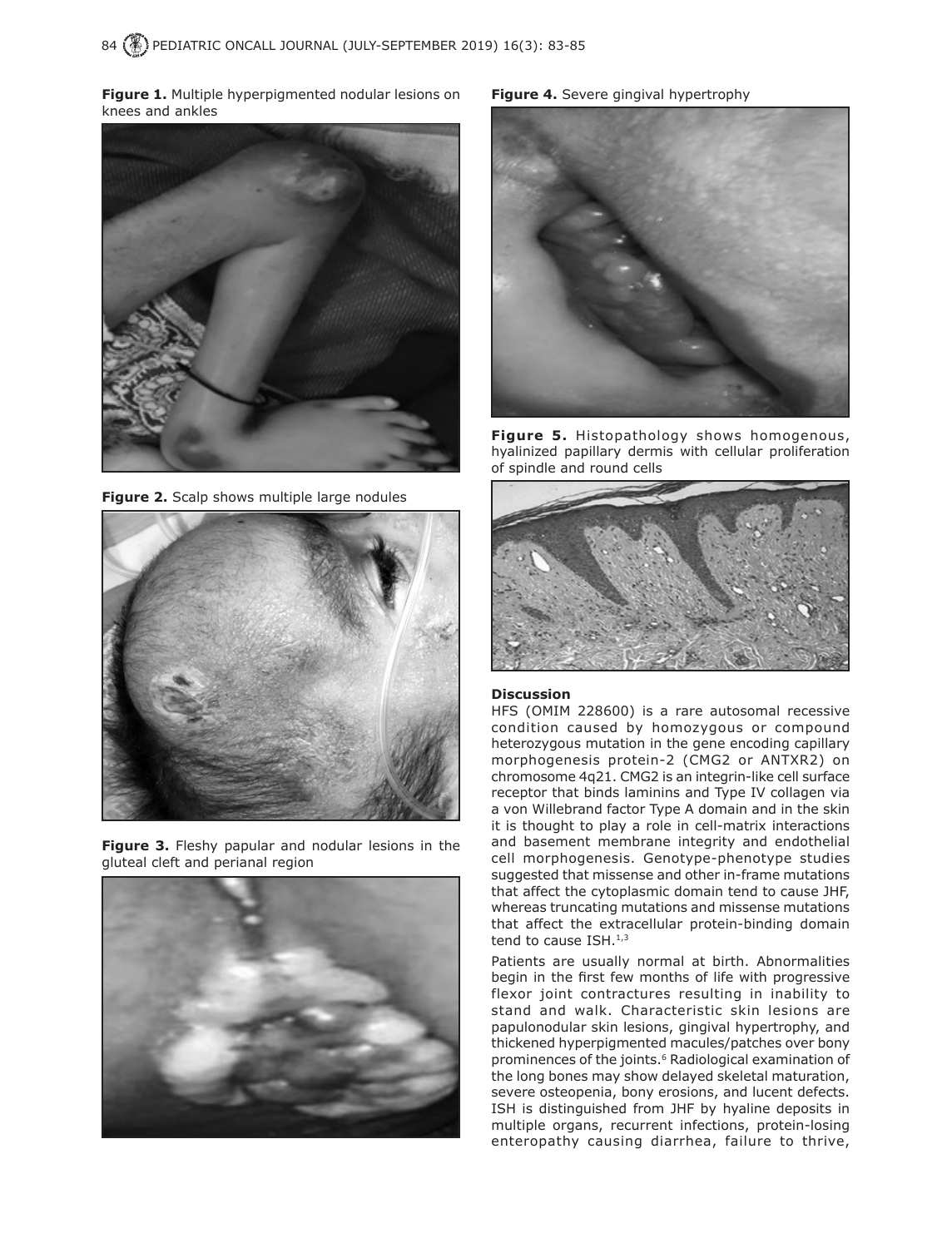**Figure 1.** Multiple hyperpigmented nodular lesions on knees and ankles



**Figure 2.** Scalp shows multiple large nodules



**Figure 3.** Fleshy papular and nodular lesions in the gluteal cleft and perianal region



**Figure 4.** Severe gingival hypertrophy



**Figure 5.** Histopathology shows homogenous, hyalinized papillary dermis with cellular proliferation of spindle and round cells



#### **Discussion**

HFS (OMIM 228600) is a rare autosomal recessive condition caused by homozygous or compound heterozygous mutation in the gene encoding capillary morphogenesis protein-2 (CMG2 or ANTXR2) on chromosome 4q21. CMG2 is an integrin-like cell surface receptor that binds laminins and Type IV collagen via a von Willebrand factor Type A domain and in the skin it is thought to play a role in cell-matrix interactions and basement membrane integrity and endothelial cell morphogenesis. Genotype-phenotype studies suggested that missense and other in-frame mutations that affect the cytoplasmic domain tend to cause JHF, whereas truncating mutations and missense mutations that affect the extracellular protein-binding domain tend to cause  $ISH.^{1,3}$ 

Patients are usually normal at birth. Abnormalities begin in the first few months of life with progressive flexor joint contractures resulting in inability to stand and walk. Characteristic skin lesions are papulonodular skin lesions, gingival hypertrophy, and thickened hyperpigmented macules/patches over bony prominences of the joints.<sup>6</sup> Radiological examination of the long bones may show delayed skeletal maturation, severe osteopenia, bony erosions, and lucent defects. ISH is distinguished from JHF by hyaline deposits in multiple organs, recurrent infections, protein-losing enteropathy causing diarrhea, failure to thrive,